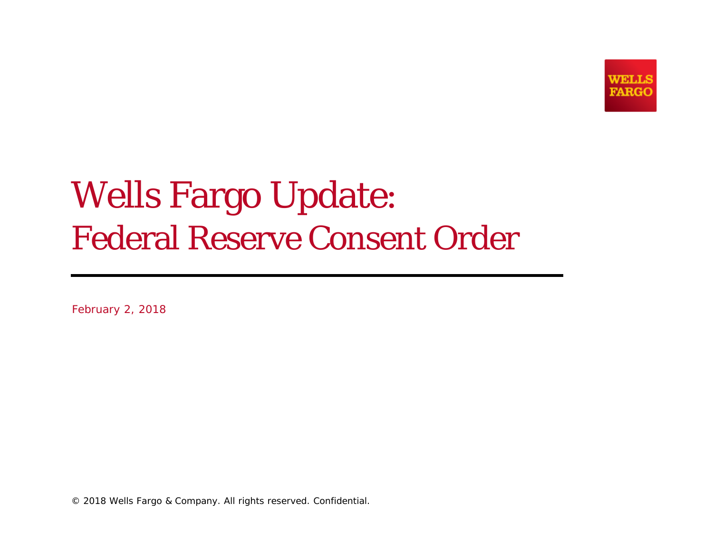

# Wells Fargo Update: Federal Reserve Consent Order

February 2, 2018

© 2018 Wells Fargo & Company. All rights reserved. Confidential.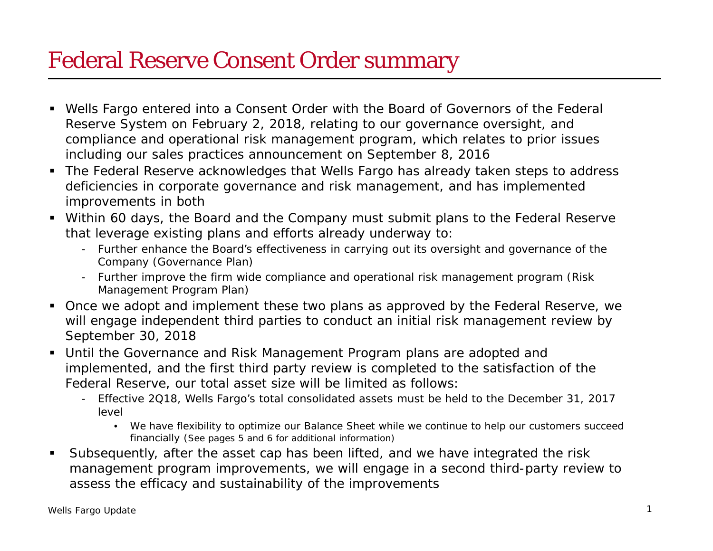## Federal Reserve Consent Order summary

- Wells Fargo entered into a Consent Order with the Board of Governors of the Federal Reserve System on February 2, 2018, relating to our governance oversight, and compliance and operational risk management program, which relates to prior issues including our sales practices announcement on September 8, 2016
- The Federal Reserve acknowledges that Wells Fargo has already taken steps to address deficiencies in corporate governance and risk management, and has implemented improvements in both
- Within 60 days, the Board and the Company must submit plans to the Federal Reserve that leverage existing plans and efforts already underway to:
	- Further enhance the Board's effectiveness in carrying out its oversight and governance of the Company (Governance Plan)
	- Further improve the firm wide compliance and operational risk management program (Risk Management Program Plan)
- Once we adopt and implement these two plans as approved by the Federal Reserve, we will engage independent third parties to conduct an initial risk management review by September 30, 2018
- Until the Governance and Risk Management Program plans are adopted and implemented, and the first third party review is completed to the satisfaction of the Federal Reserve, our total asset size will be limited as follows:
	- Effective 2Q18, Wells Fargo's total consolidated assets must be held to the December 31, 2017 level
		- We have flexibility to optimize our Balance Sheet while we continue to help our customers succeed financially (See pages 5 and 6 for additional information)
- Subsequently, after the asset cap has been lifted, and we have integrated the risk management program improvements, we will engage in a second third-party review to assess the efficacy and sustainability of the improvements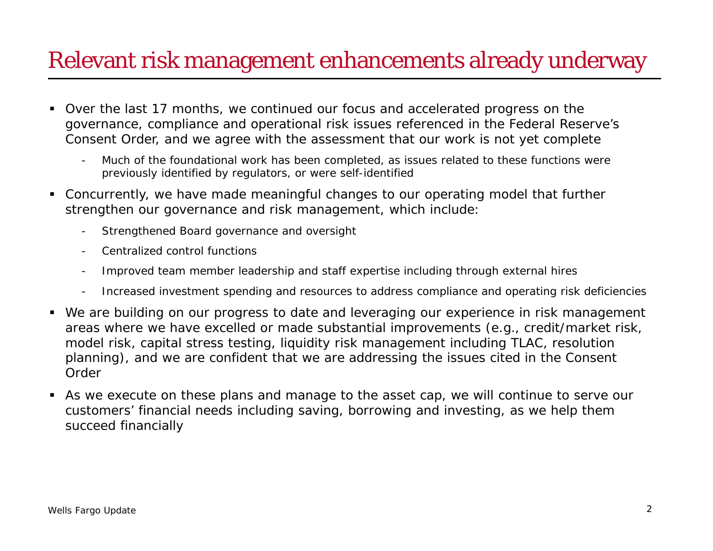## Relevant risk management enhancements already underway

- Over the last 17 months, we continued our focus and accelerated progress on the governance, compliance and operational risk issues referenced in the Federal Reserve's Consent Order, and we agree with the assessment that our work is not yet complete
	- Much of the foundational work has been completed, as issues related to these functions were previously identified by regulators, or were self-identified
- Concurrently, we have made meaningful changes to our operating model that further strengthen our governance and risk management, which include:
	- Strengthened Board governance and oversight
	- Centralized control functions
	- -Improved team member leadership and staff expertise including through external hires
	- Increased investment spending and resources to address compliance and operating risk deficiencies
- We are building on our progress to date and leveraging our experience in risk management areas where we have excelled or made substantial improvements (e.g., credit/market risk, model risk, capital stress testing, liquidity risk management including TLAC, resolution planning), and we are confident that we are addressing the issues cited in the Consent Order
- As we execute on these plans and manage to the asset cap, we will continue to serve our customers' financial needs including saving, borrowing and investing, as we help them succeed financially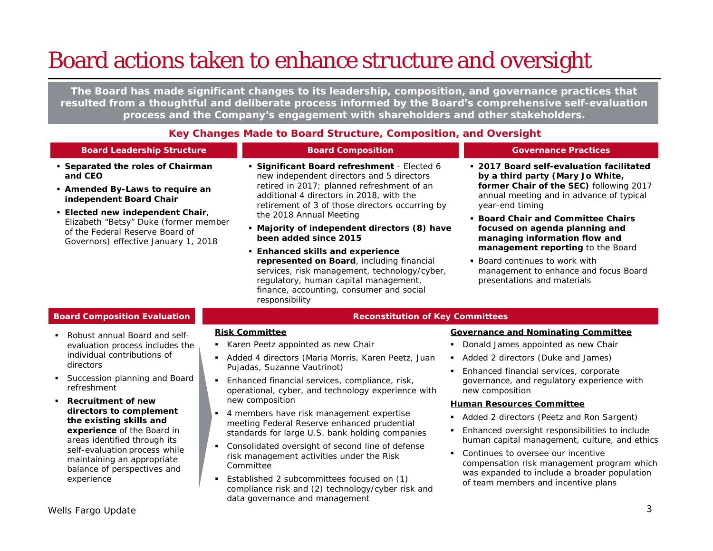## Board actions taken to enhance structure and oversight

*The Board has made significant changes to its leadership, composition, and governance practices that resulted from a thoughtful and deliberate process informed by the Board's comprehensive self-evaluation process and the Company's engagement with shareholders and other stakeholders.* 

### **Key Changes Made to Board Structure, Composition, and Oversight**

### **Board Leadership Structure Board Composition Governance Practices**

- **Separated the roles of Chairman and CEO**
- **Amended By-Laws to require an independent Board Chair**
- **Elected new independent Chair**, Elizabeth "Betsy" Duke (former member of the Federal Reserve Board of Governors) effective January 1, 2018
- **Significant Board refreshment**  Elected 6 new independent directors and 5 directors retired in 2017; planned refreshment of an additional 4 directors in 2018, with the retirement of 3 of those directors occurring by the 2018 Annual Meeting
- **Majority of independent directors (8) have been added since 2015**
- **Enhanced skills and experience represented on Board**, including financial services, risk management, technology/cyber, regulatory, human capital management, finance, accounting, consumer and social responsibility
- **2017 Board self-evaluation facilitated by a third party (Mary Jo White, former Chair of the SEC)** following 2017 annual meeting and in advance of typical year-end timing
- **Board Chair and Committee Chairs focused on agenda planning and managing information flow and management reporting** to the Board
- Board continues to work with management to enhance and focus Board presentations and materials

- Robust annual Board and selfevaluation process includes the individual contributions of directors
- **Succession planning and Board** refreshment
- **Recruitment of new directors to complement the existing skills and experience** of the Board in areas identified through its self-evaluation process while maintaining an appropriate balance of perspectives and experience

### **Board Composition Evaluation <b>Reconstitution Committees Reconstitution of Key Committees**

### **Risk Committee**

- **Karen Peetz appointed as new Chair**
- Added 4 directors (Maria Morris, Karen Peetz, Juan Pujadas, Suzanne Vautrinot)
- Enhanced financial services, compliance, risk, operational, cyber, and technology experience with new composition
- 4 members have risk management expertise meeting Federal Reserve enhanced prudential standards for large U.S. bank holding companies
- Consolidated oversight of second line of defense risk management activities under the Risk Committee
- $\blacksquare$  Established 2 subcommittees focused on (1) compliance risk and (2) technology/cyber risk and data governance and management

### **Governance and Nominating Committee**

- **Donald James appointed as new Chair**
- n Added 2 directors (Duke and James)
- **Enhanced financial services, corporate** governance, and regulatory experience with new composition

### **Human Resources Committee**

- Added 2 directors (Peetz and Ron Sargent)
- Enhanced oversight responsibilities to include human capital management, culture, and ethics
- Continues to oversee our incentive compensation risk management program which was expanded to include a broader population of team members and incentive plans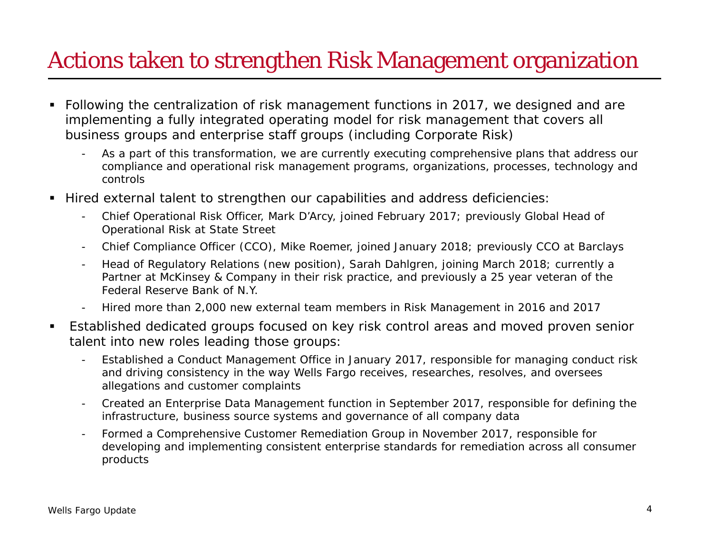## Actions taken to strengthen Risk Management organization

- Following the centralization of risk management functions in 2017, we designed and are implementing a fully integrated operating model for risk management that covers all business groups and enterprise staff groups (including Corporate Risk)
	- As a part of this transformation, we are currently executing comprehensive plans that address our compliance and operational risk management programs, organizations, processes, technology and controls
- Hired external talent to strengthen our capabilities and address deficiencies:
	- Chief Operational Risk Officer, Mark D'Arcy, joined February 2017; previously Global Head of Operational Risk at State Street
	- Chief Compliance Officer (CCO), Mike Roemer, joined January 2018; previously CCO at Barclays
	- Head of Regulatory Relations (new position), Sarah Dahlgren, joining March 2018; currently a Partner at McKinsey & Company in their risk practice, and previously a 25 year veteran of the Federal Reserve Bank of N.Y.
	- Hired more than 2,000 new external team members in Risk Management in 2016 and 2017
- $\blacksquare$  Established dedicated groups focused on key risk control areas and moved proven senior talent into new roles leading those groups:
	- Established a Conduct Management Office in January 2017, responsible for managing conduct risk and driving consistency in the way Wells Fargo receives, researches, resolves, and oversees allegations and customer complaints
	- Created an Enterprise Data Management function in September 2017, responsible for defining the infrastructure, business source systems and governance of all company data
	- Formed a Comprehensive Customer Remediation Group in November 2017, responsible for developing and implementing consistent enterprise standards for remediation across all consumer products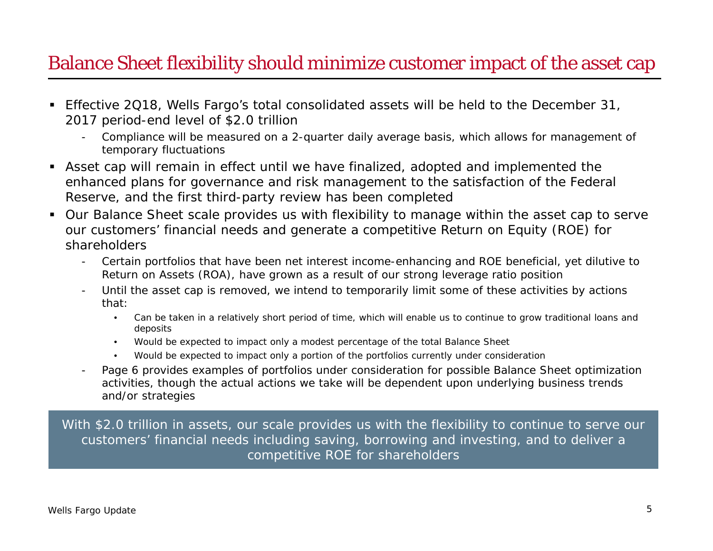### Balance Sheet flexibility should minimize customer impact of the asset cap

- Effective 2Q18, Wells Fargo's total consolidated assets will be held to the December 31, 2017 period-end level of \$2.0 trillion
	- - Compliance will be measured on a 2-quarter daily average basis, which allows for management of temporary fluctuations
- Asset cap will remain in effect until we have finalized, adopted and implemented the enhanced plans for governance and risk management to the satisfaction of the Federal Reserve, and the first third-party review has been completed
- $\blacksquare$  Our Balance Sheet scale provides us with flexibility to manage within the asset cap to serve our customers' financial needs and generate a competitive Return on Equity (ROE) for shareholders
	- - Certain portfolios that have been net interest income-enhancing and ROE beneficial, yet dilutive to Return on Assets (ROA), have grown as a result of our strong leverage ratio position
	- - Until the asset cap is removed, we intend to temporarily limit some of these activities by actions that:
		- • Can be taken in a relatively short period of time, which will enable us to continue to grow traditional loans and deposits
		- •Would be expected to impact only a modest percentage of the total Balance Sheet
		- •Would be expected to impact only a portion of the portfolios currently under consideration
	- Page 6 provides examples of portfolios under consideration for possible Balance Sheet optimization activities, though the actual actions we take will be dependent upon underlying business trends and/or strategies

With \$2.0 trillion in assets, our scale provides us with the flexibility to continue to serve our customers' financial needs including saving, borrowing and investing, and to deliver a competitive ROE for shareholders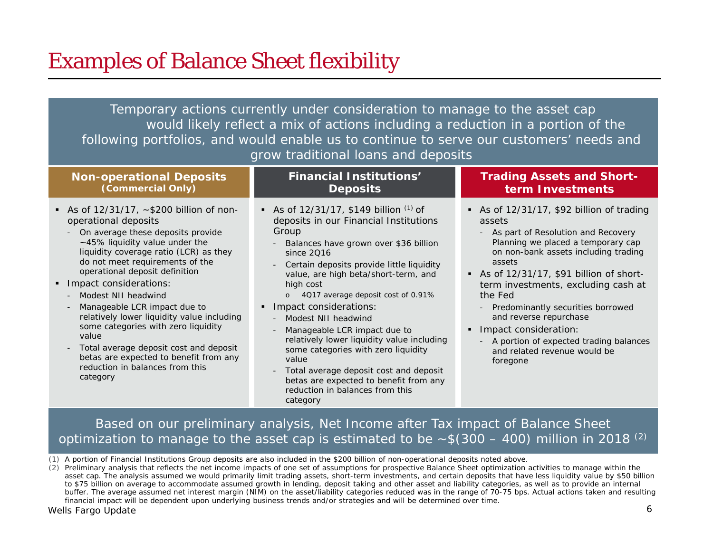## Examples of Balance Sheet flexibility

Temporary actions currently under consideration to manage to the asset cap would likely reflect a mix of actions including a reduction in a portion of the following portfolios, and would enable us to continue to serve our customers' needs and grow traditional loans and deposits

| Non-operational Deposits                                                                                                                                                                                                                                                                                                                                                                                                                                                                                                                                                            | <b>Financial Institutions'</b>                                                                                                                                                                                                                                                                                                                                                                                                                                                                                                                                                                                                                | <b>Trading Assets and Short-</b>                                                                                                                                                                                                                                                                                                                                                                                                                                            |
|-------------------------------------------------------------------------------------------------------------------------------------------------------------------------------------------------------------------------------------------------------------------------------------------------------------------------------------------------------------------------------------------------------------------------------------------------------------------------------------------------------------------------------------------------------------------------------------|-----------------------------------------------------------------------------------------------------------------------------------------------------------------------------------------------------------------------------------------------------------------------------------------------------------------------------------------------------------------------------------------------------------------------------------------------------------------------------------------------------------------------------------------------------------------------------------------------------------------------------------------------|-----------------------------------------------------------------------------------------------------------------------------------------------------------------------------------------------------------------------------------------------------------------------------------------------------------------------------------------------------------------------------------------------------------------------------------------------------------------------------|
| (Commercial Only)                                                                                                                                                                                                                                                                                                                                                                                                                                                                                                                                                                   | <b>Deposits</b>                                                                                                                                                                                                                                                                                                                                                                                                                                                                                                                                                                                                                               | term Investments                                                                                                                                                                                                                                                                                                                                                                                                                                                            |
| • As of $12/31/17$ , $\sim$ \$200 billion of non-<br>operational deposits<br>On average these deposits provide<br>~45% liquidity value under the<br>liquidity coverage ratio (LCR) as they<br>do not meet requirements of the<br>operational deposit definition<br>Impact considerations:<br>- Modest NII headwind<br>Manageable LCR impact due to<br>relatively lower liquidity value including<br>some categories with zero liquidity<br>value<br>Total average deposit cost and deposit<br>betas are expected to benefit from any<br>reduction in balances from this<br>category | • As of $12/31/17$ , \$149 billion $(1)$ of<br>deposits in our Financial Institutions<br>Group<br>Balances have grown over \$36 billion<br>since $2016$<br>Certain deposits provide little liquidity<br>value, are high beta/short-term, and<br>high cost<br>4Q17 average deposit cost of 0.91%<br>Impact considerations:<br>Modest NII headwind<br>Manageable LCR impact due to<br>relatively lower liquidity value including<br>some categories with zero liquidity<br>value<br>Total average deposit cost and deposit<br>$\overline{\phantom{a}}$<br>betas are expected to benefit from any<br>reduction in balances from this<br>category | • As of 12/31/17, \$92 billion of trading<br>assets<br>- As part of Resolution and Recovery<br>Planning we placed a temporary cap<br>on non-bank assets including trading<br>assets<br>As of 12/31/17, \$91 billion of short-<br>٠<br>term investments, excluding cash at<br>the Fed<br>- Predominantly securities borrowed<br>and reverse repurchase<br>Impact consideration:<br>٠<br>- A portion of expected trading balances<br>and related revenue would be<br>foregone |

### Based on our preliminary analysis, Net Income after Tax impact of Balance Sheet optimization to manage to the asset cap is estimated to be  $\sim$  \$(300 – 400) million in 2018 <sup>(2)</sup>

*(1) A portion of Financial Institutions Group deposits are also included in the \$200 billion of non-operational deposits noted above.* 

*(2) Preliminary analysis that reflects the net income impacts of one set of assumptions for prospective Balance Sheet optimization activities to manage within the*  asset cap. The analysis assumed we would primarily limit trading assets, short-term investments, and certain deposits that have less liquidity value by \$50 billion *to \$75 billion on average to accommodate assumed growth in lending, deposit taking and other asset and liability categories, as well as to provide an internal buffer. The average assumed net interest margin (NIM) on the asset/liability categories reduced was in the range of 70-75 bps. Actual actions taken and resulting financial impact will be dependent upon underlying business trends and/or strategies and will be determined over time.* 

### Wells Fargo Update 6 and the set of the set of the set of the set of the set of the set of the set of the set of the set of the set of the set of the set of the set of the set of the set of the set of the set of the set of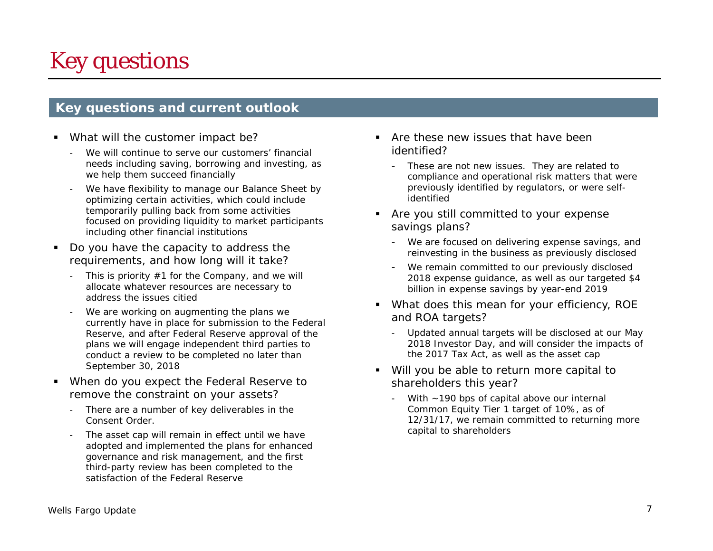## Key questions

### **Key questions and current outlook**

- $\blacksquare$  What will the customer impact be?
	- We will continue to serve our customers' financial needs including saving, borrowing and investing, as we help them succeed financially
	- We have flexibility to manage our Balance Sheet by optimizing certain activities, which could include temporarily pulling back from some activities focused on providing liquidity to market participants including other financial institutions
- $\blacksquare$  Do you have the capacity to address the requirements, and how long will it take?
	- This is priority #1 for the Company, and we will allocate whatever resources are necessary to address the issues citied
	- We are working on augmenting the plans we currently have in place for submission to the Federal Reserve, and after Federal Reserve approval of the plans we will engage independent third parties to conduct a review to be completed no later than September 30, 2018
- $\blacksquare$  When do you expect the Federal Reserve to remove the constraint on your assets?
	- There are a number of key deliverables in the Consent Order.
	- The asset cap will remain in effect until we have adopted and implemented the plans for enhanced governance and risk management, and the first third-party review has been completed to the satisfaction of the Federal Reserve
- Are these new issues that have been identified?
	- These are not new issues. They are related to compliance and operational risk matters that were previously identified by regulators, or were selfidentified
- $\blacksquare$  Are you still committed to your expense savings plans?
	- We are focused on delivering expense savings, and reinvesting in the business as previously disclosed
	- We remain committed to our previously disclosed 2018 expense guidance, as well as our targeted \$4 billion in expense savings by year-end 2019
- ٠ What does this mean for your efficiency, ROE and ROA targets?
	- - Updated annual targets will be disclosed at our May 2018 Investor Day, and will consider the impacts of the 2017 Tax Act, as well as the asset cap
- $\blacksquare$  Will you be able to return more capital to shareholders this year?
	- With ~190 bps of capital above our internal Common Equity Tier 1 target of 10%, as of 12/31/17, we remain committed to returning more capital to shareholders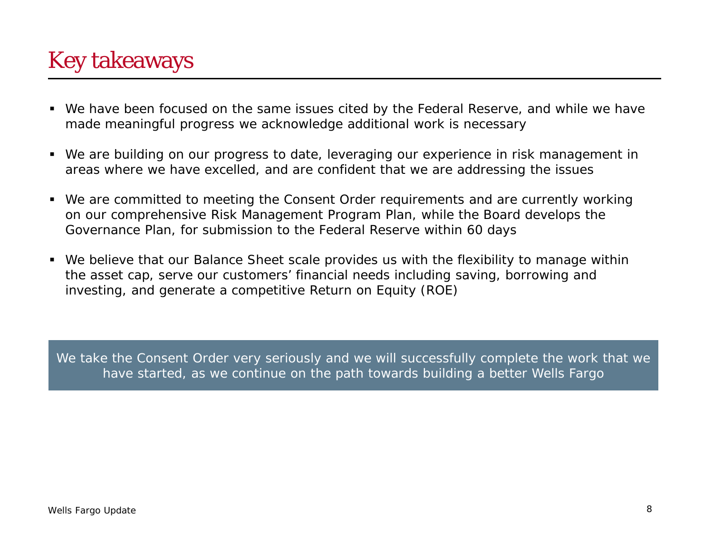## Key takeaways

- We have been focused on the same issues cited by the Federal Reserve, and while we have made meaningful progress we acknowledge additional work is necessary
- We are building on our progress to date, leveraging our experience in risk management in areas where we have excelled, and are confident that we are addressing the issues
- We are committed to meeting the Consent Order requirements and are currently working on our comprehensive Risk Management Program Plan, while the Board develops the Governance Plan, for submission to the Federal Reserve within 60 days
- We believe that our Balance Sheet scale provides us with the flexibility to manage within the asset cap, serve our customers' financial needs including saving, borrowing and investing, and generate a competitive Return on Equity (ROE)

We take the Consent Order very seriously and we will successfully complete the work that we have started, as we continue on the path towards building a better Wells Fargo